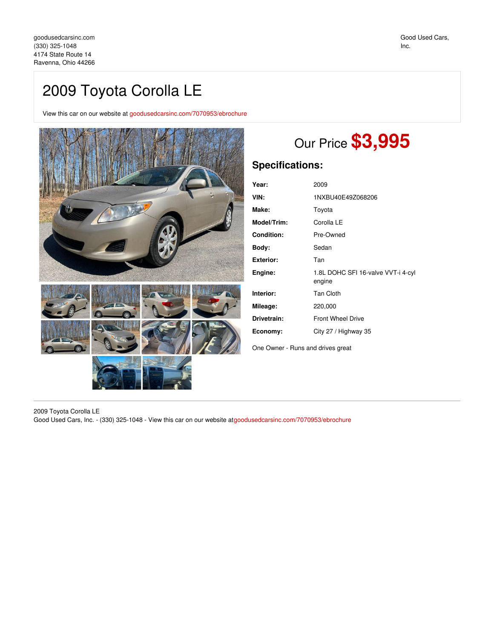## 2009 Toyota Corolla LE

View this car on our website at [goodusedcarsinc.com/7070953/ebrochure](https://goodusedcarsinc.com/vehicle/7070953/2009-toyota-corolla-le-ravenna-ohio-44266/7070953/ebrochure)



## Our Price **\$3,995**

## **Specifications:**

| Year:             | 2009                                         |
|-------------------|----------------------------------------------|
| VIN:              | 1NXBU40E49Z068206                            |
| Make:             | Toyota                                       |
| Model/Trim:       | Corolla LE                                   |
| <b>Condition:</b> | Pre-Owned                                    |
| Body:             | Sedan                                        |
| <b>Exterior:</b>  | Tan                                          |
| Engine:           | 1.8L DOHC SFI 16-valve VVT-i 4-cyl<br>engine |
| Interior:         | <b>Tan Cloth</b>                             |
| Mileage:          | 220,000                                      |
| Drivetrain:       | <b>Front Wheel Drive</b>                     |
| Economy:          | City 27 / Highway 35                         |
|                   |                                              |

One Owner - Runs and drives great

2009 Toyota Corolla LE

Good Used Cars, Inc. - (330) 325-1048 - View this car on our website at[goodusedcarsinc.com/7070953/ebrochure](https://goodusedcarsinc.com/vehicle/7070953/2009-toyota-corolla-le-ravenna-ohio-44266/7070953/ebrochure)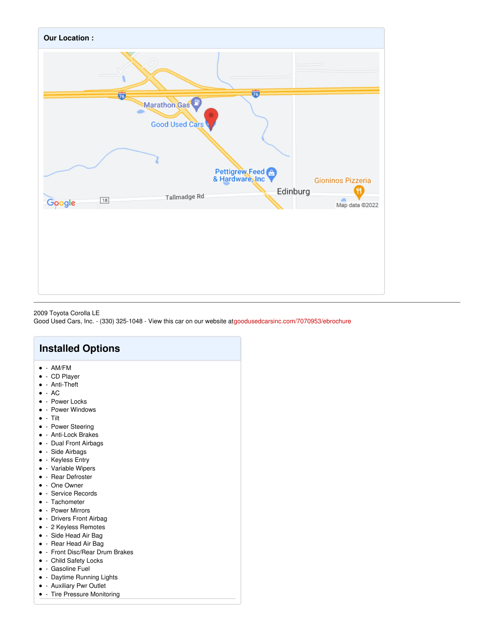

## 2009 Toyota Corolla LE

Good Used Cars, Inc. - (330) 325-1048 - View this car on our website at[goodusedcarsinc.com/7070953/ebrochure](https://goodusedcarsinc.com/vehicle/7070953/2009-toyota-corolla-le-ravenna-ohio-44266/7070953/ebrochure)

| <b>Installed Options</b>                                                                                                                                                                                                                                                                                                  |
|---------------------------------------------------------------------------------------------------------------------------------------------------------------------------------------------------------------------------------------------------------------------------------------------------------------------------|
| $\bullet$ - AM/FM<br>• - CD Player<br>$\bullet$ - Anti-Theft<br>$\bullet$ - AC<br>• - Power Locks<br>• - Power Windows<br>$\bullet$ - Tilt<br>• - Power Steering<br>• - Anti-Lock Brakes<br>• - Dual Front Airbags<br>• - Side Airbags<br>• - Keyless Entry<br>• - Variable Wipers<br>• - Rear Defroster<br>• - One Owner |
| • - Service Records<br>$\bullet$ - Tachometer<br>• - Power Mirrors<br>• - Drivers Front Airbag<br>• - 2 Keyless Remotes<br>• - Side Head Air Bag<br>• - Rear Head Air Bag<br>• - Front Disc/Rear Drum Brakes<br>• - Child Safety Locks<br>• - Gasoline Fuel<br>• - Daytime Running Lights                                 |

- Auxiliary Pwr Outlet
- - Tire Pressure Monitoring